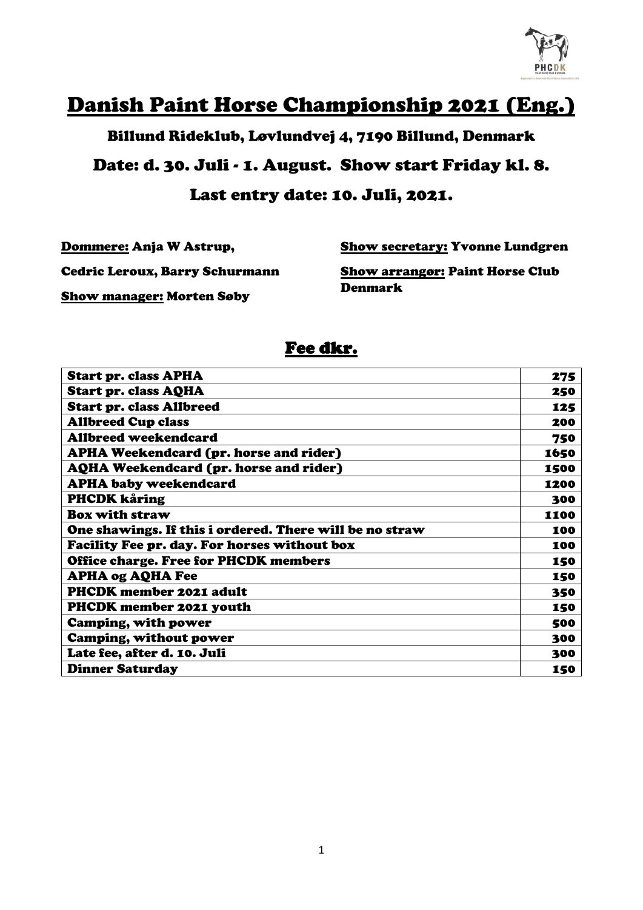

# Danish Paint Horse Championship 2021 (Eng.)

Billund Rideklub, Løvlundvej 4, 7190 Billund, Denmark

Date: d. 30. Juli - 1. August. Show start Friday kl. 8. Last entry date: 10. Juli, 2021.

Dommere: Anja W Astrup,

Show secretary: Yvonne Lundgren

Cedric Leroux, Barry Schurmann

Show arrangør: Paint Horse Club Denmark

Show manager: Morten Søby

#### Fee dkr.

| <b>Start pr. class APHA</b>                             | 275  |
|---------------------------------------------------------|------|
| <b>Start pr. class AQHA</b>                             | 250  |
| <b>Start pr. class Allbreed</b>                         | 125  |
| <b>Allbreed Cup class</b>                               | 200  |
| <b>Allbreed weekendcard</b>                             | 750  |
| APHA Weekendcard (pr. horse and rider)                  | 1650 |
| <b>AQHA Weekendcard (pr. horse and rider)</b>           | 1500 |
| <b>APHA baby weekendcard</b>                            | 1200 |
| PHCDK kåring                                            | 300  |
| <b>Box with straw</b>                                   | 1100 |
| One shawings. If this i ordered. There will be no straw | 100  |
| Facility Fee pr. day. For horses without box            | 100  |
| <b>Office charge. Free for PHCDK members</b>            | 150  |
| <b>APHA og AQHA Fee</b>                                 | 150  |
| PHCDK member 2021 adult                                 | 350  |
| <b>PHCDK member 2021 youth</b>                          | 150  |
| <b>Camping, with power</b>                              | 500  |
| <b>Camping, without power</b>                           | 300  |
| Late fee, after d. 10. Juli                             | 300  |
| <b>Dinner Saturday</b>                                  | 150  |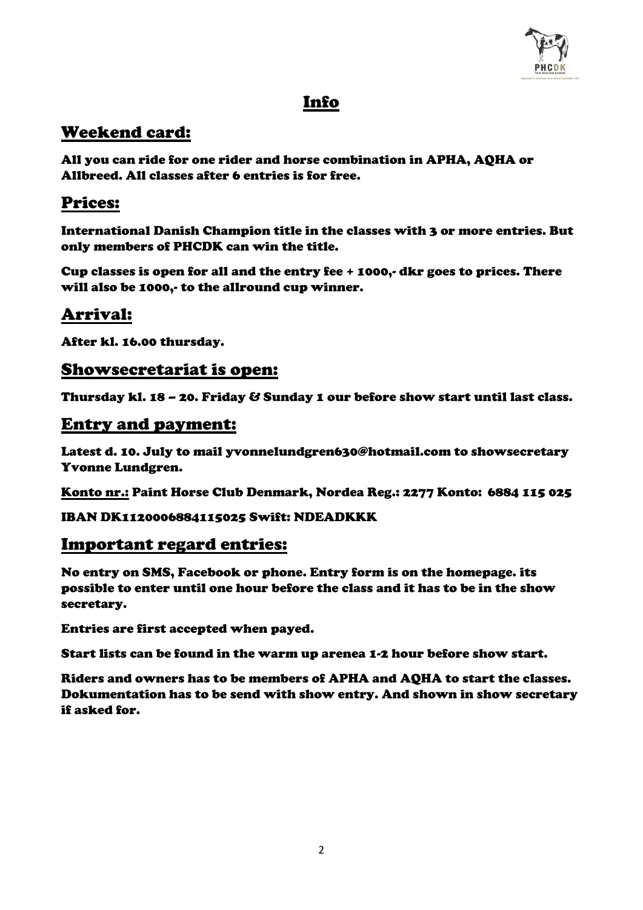

### Info

### Weekend card:

All you can ride for one rider and horse combination in APHA, AQHA or Allbreed. All classes after 6 entries is for free.

### Prices:

International Danish Champion title in the classes with 3 or more entries. But only members of PHCDK can win the title.

Cup classes is open for all and the entry fee + 1000,- dkr goes to prices. There will also be 1000,- to the allround cup winner.

## Arrival:

After kl. 16.00 thursday.

#### Showsecretariat is open:

Thursday kl. 18 – 20. Friday & Sunday 1 our before show start until last class.

#### Entry and payment:

Latest d. 10. July to mail yvonnelundgren630@hotmail.com to showsecretary Yvonne Lundgren.

Konto nr.: Paint Horse Club Denmark, Nordea Reg.: 2277 Konto: 6884 115 025

IBAN DK1120006884115025 Swift: NDEADKKK

### Important regard entries:

No entry on SMS, Facebook or phone. Entry form is on the homepage. its possible to enter until one hour before the class and it has to be in the show secretary.

Entries are first accepted when payed.

Start lists can be found in the warm up arenea 1-2 hour before show start.

Riders and owners has to be members of APHA and AQHA to start the classes. Dokumentation has to be send with show entry. And shown in show secretary if asked for.